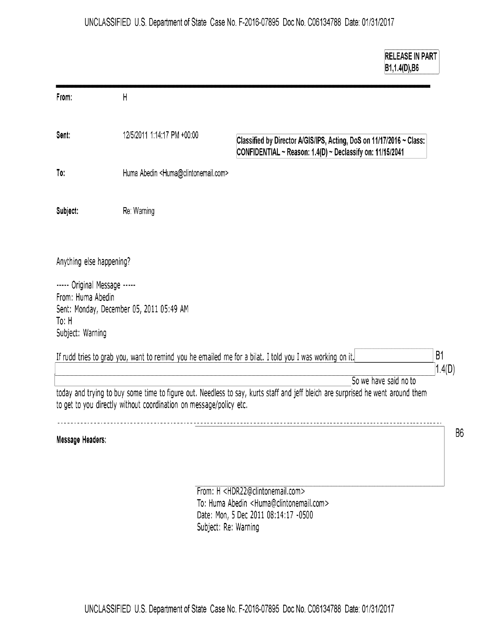**RELEASE IN PART** 

|                                                                                |                                                                    | B1,1.4(D),B6                                                                                                                                                           |        |
|--------------------------------------------------------------------------------|--------------------------------------------------------------------|------------------------------------------------------------------------------------------------------------------------------------------------------------------------|--------|
| From:                                                                          | H                                                                  |                                                                                                                                                                        |        |
| Sent:                                                                          | 12/5/2011 1:14:17 PM +00:00                                        | Classified by Director A/GIS/IPS, Acting, DoS on 11/17/2016 ~ Class:<br>CONFIDENTIAL ~ Reason: 1.4(D) ~ Declassify on: 11/15/2041                                      |        |
| To:                                                                            | Huma Abedin <huma@clintonemail.com></huma@clintonemail.com>        |                                                                                                                                                                        |        |
| Subject:                                                                       | Re: Warning                                                        |                                                                                                                                                                        |        |
| Anything else happening?                                                       |                                                                    |                                                                                                                                                                        |        |
| ----- Original Message -----<br>From: Huma Abedin<br>To: H<br>Subject: Warning | Sent: Monday, December 05, 2011 05:49 AM                           |                                                                                                                                                                        |        |
|                                                                                |                                                                    | If rudd tries to grab you, want to remind you he emailed me for a bilat. I told you I was working on it.                                                               | B1     |
|                                                                                | to get to you directly without coordination on message/policy etc. | So we have said no to<br>today and trying to buy some time to figure out. Needless to say, kurts staff and jeff bleich are surprised he went around them               | 1.4(D) |
| Message Headers:                                                               |                                                                    |                                                                                                                                                                        |        |
|                                                                                |                                                                    | From: H <hdr22@clintonemail.com><br/>To: Huma Abedin <huma@clintonemail.com><br/>Date: Mon, 5 Dec 2011 08:14:17 -0500</huma@clintonemail.com></hdr22@clintonemail.com> |        |

Subject: Re: Warning